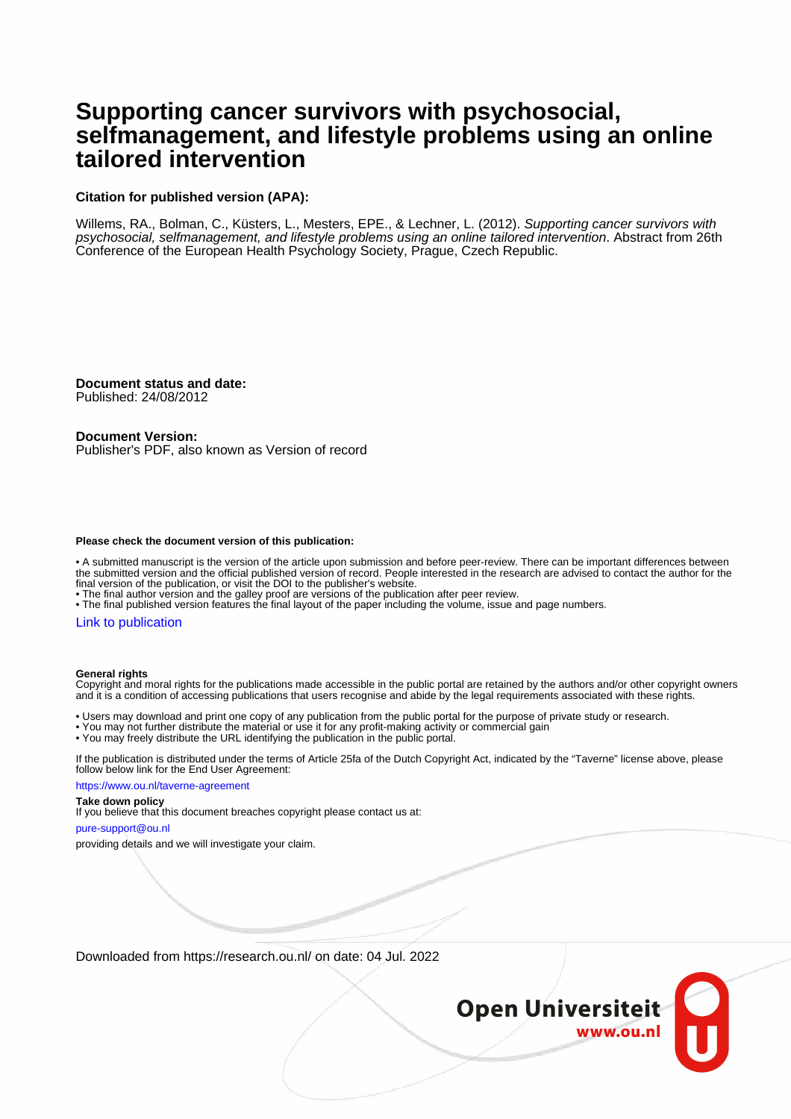# **Supporting cancer survivors with psychosocial, selfmanagement, and lifestyle problems using an online tailored intervention**

# **Citation for published version (APA):**

Willems, RA., Bolman, C., Küsters, L., Mesters, EPE., & Lechner, L. (2012). Supporting cancer survivors with psychosocial, selfmanagement, and lifestyle problems using an online tailored intervention. Abstract from 26th Conference of the European Health Psychology Society, Prague, Czech Republic.

**Document status and date:** Published: 24/08/2012

**Document Version:**

Publisher's PDF, also known as Version of record

#### **Please check the document version of this publication:**

• A submitted manuscript is the version of the article upon submission and before peer-review. There can be important differences between the submitted version and the official published version of record. People interested in the research are advised to contact the author for the final version of the publication, or visit the DOI to the publisher's website.

• The final author version and the galley proof are versions of the publication after peer review.

• The final published version features the final layout of the paper including the volume, issue and page numbers.

## [Link to publication](https://research.ou.nl/en/publications/1b7c1e8c-3409-4afc-b829-f84893d6b22d)

#### **General rights**

Copyright and moral rights for the publications made accessible in the public portal are retained by the authors and/or other copyright owners and it is a condition of accessing publications that users recognise and abide by the legal requirements associated with these rights.

• Users may download and print one copy of any publication from the public portal for the purpose of private study or research.

- You may not further distribute the material or use it for any profit-making activity or commercial gain
- You may freely distribute the URL identifying the publication in the public portal.

If the publication is distributed under the terms of Article 25fa of the Dutch Copyright Act, indicated by the "Taverne" license above, please follow below link for the End User Agreement:

https://www.ou.nl/taverne-agreement

#### **Take down policy**

If you believe that this document breaches copyright please contact us at:

pure-support@ou.nl

providing details and we will investigate your claim.

Downloaded from https://research.ou.nl/ on date: 04 Jul. 2022

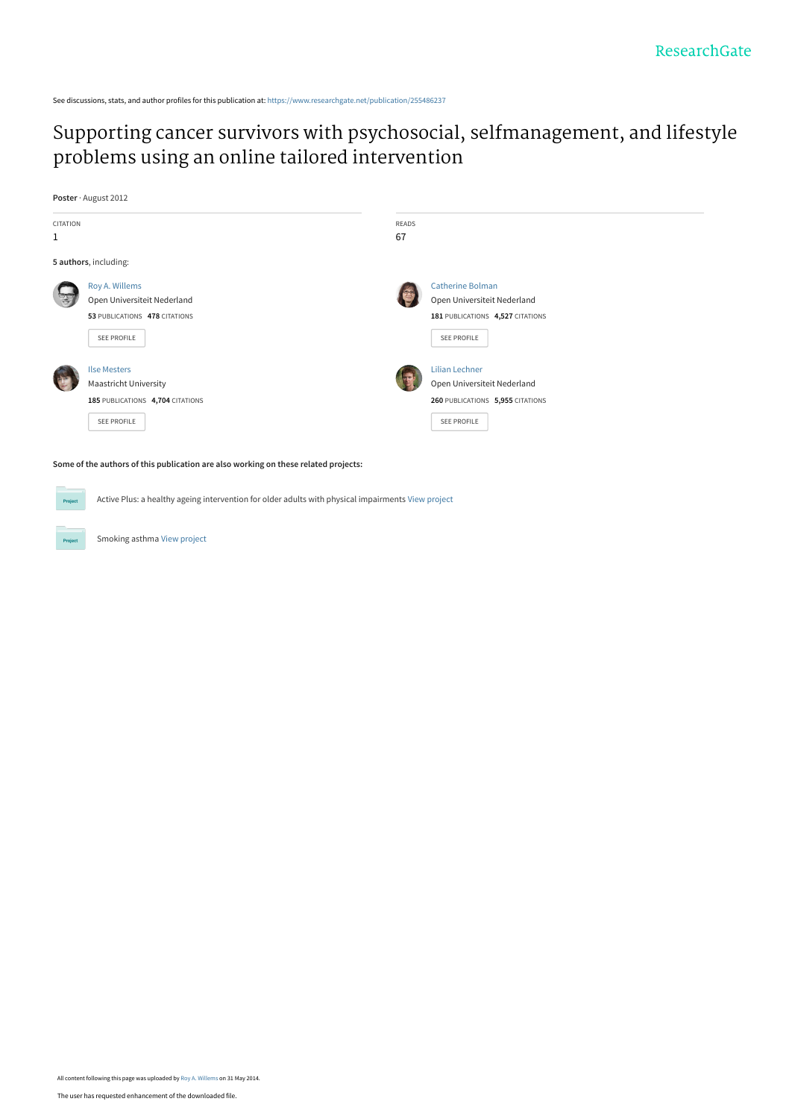See discussions, stats, and author profiles for this publication at: [https://www.researchgate.net/publication/255486237](https://www.researchgate.net/publication/255486237_Supporting_cancer_survivors_with_psychosocial_selfmanagement_and_lifestyle_problems_using_an_online_tailored_intervention?enrichId=rgreq-bfa0fcefae6a1afbeadaadafc753766c-XXX&enrichSource=Y292ZXJQYWdlOzI1NTQ4NjIzNztBUzoxMDMwMzQ4ODk3MDM0NDFAMTQwMTU3Njg0MTAyMw%3D%3D&el=1_x_2&_esc=publicationCoverPdf)

# [Supporting cancer survivors with psychosocial, selfmanagement, and lifestyle](https://www.researchgate.net/publication/255486237_Supporting_cancer_survivors_with_psychosocial_selfmanagement_and_lifestyle_problems_using_an_online_tailored_intervention?enrichId=rgreq-bfa0fcefae6a1afbeadaadafc753766c-XXX&enrichSource=Y292ZXJQYWdlOzI1NTQ4NjIzNztBUzoxMDMwMzQ4ODk3MDM0NDFAMTQwMTU3Njg0MTAyMw%3D%3D&el=1_x_3&_esc=publicationCoverPdf) problems using an online tailored intervention

**Poster** · August 2012

Proj



**Some of the authors of this publication are also working on these related projects:**

Active Plus: a healthy ageing intervention for older adults with physical impairments [View project](https://www.researchgate.net/project/Active-Plus-a-healthy-ageing-intervention-for-older-adults-with-physical-impairments?enrichId=rgreq-bfa0fcefae6a1afbeadaadafc753766c-XXX&enrichSource=Y292ZXJQYWdlOzI1NTQ4NjIzNztBUzoxMDMwMzQ4ODk3MDM0NDFAMTQwMTU3Njg0MTAyMw%3D%3D&el=1_x_9&_esc=publicationCoverPdf)

Smoking asthma [View project](https://www.researchgate.net/project/Smoking-asthma?enrichId=rgreq-bfa0fcefae6a1afbeadaadafc753766c-XXX&enrichSource=Y292ZXJQYWdlOzI1NTQ4NjIzNztBUzoxMDMwMzQ4ODk3MDM0NDFAMTQwMTU3Njg0MTAyMw%3D%3D&el=1_x_9&_esc=publicationCoverPdf)